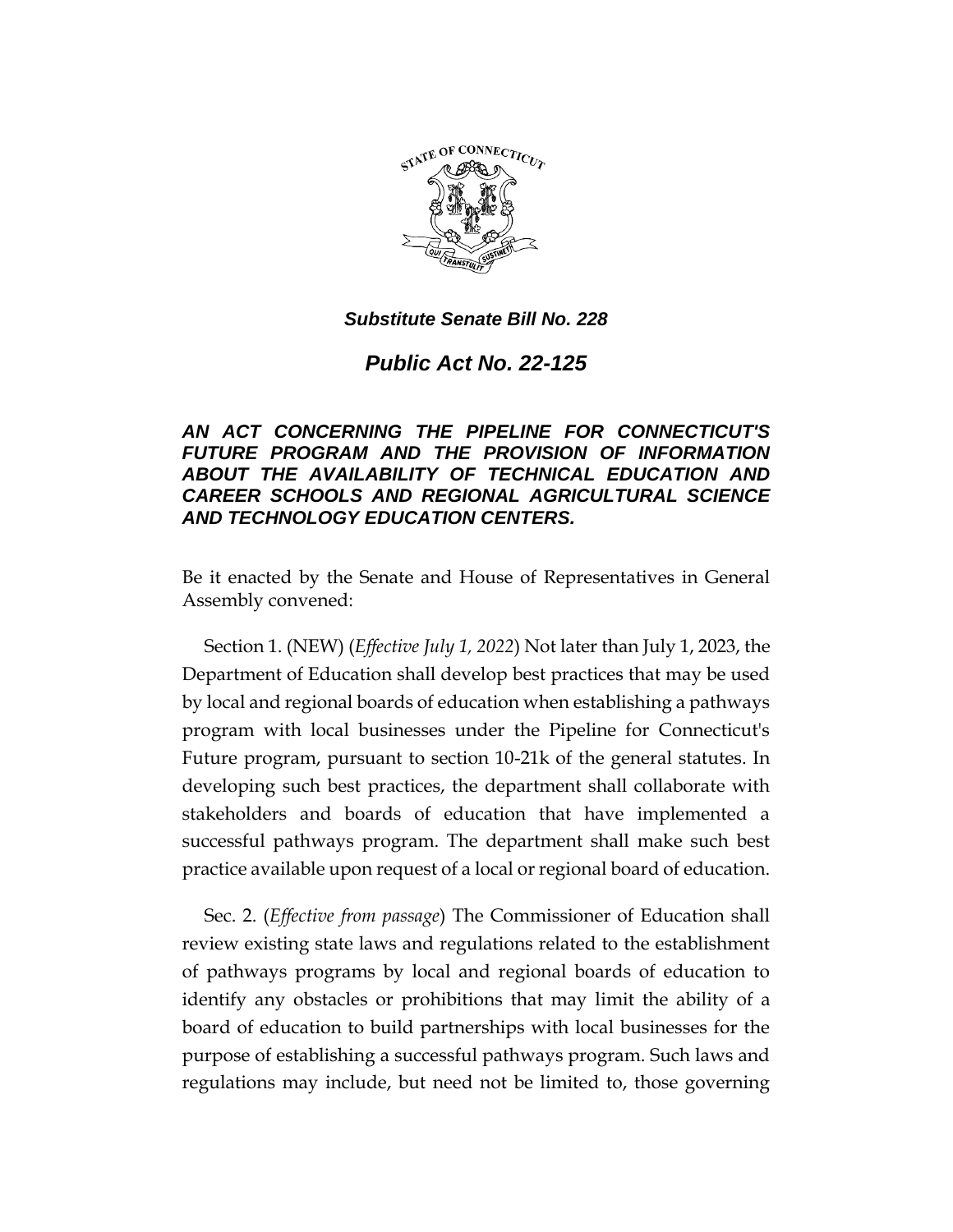

## *Substitute Senate Bill No. 228*

*Public Act No. 22-125*

## *AN ACT CONCERNING THE PIPELINE FOR CONNECTICUT'S FUTURE PROGRAM AND THE PROVISION OF INFORMATION ABOUT THE AVAILABILITY OF TECHNICAL EDUCATION AND CAREER SCHOOLS AND REGIONAL AGRICULTURAL SCIENCE AND TECHNOLOGY EDUCATION CENTERS.*

Be it enacted by the Senate and House of Representatives in General Assembly convened:

Section 1. (NEW) (*Effective July 1, 2022*) Not later than July 1, 2023, the Department of Education shall develop best practices that may be used by local and regional boards of education when establishing a pathways program with local businesses under the Pipeline for Connecticut's Future program, pursuant to section 10-21k of the general statutes. In developing such best practices, the department shall collaborate with stakeholders and boards of education that have implemented a successful pathways program. The department shall make such best practice available upon request of a local or regional board of education.

Sec. 2. (*Effective from passage*) The Commissioner of Education shall review existing state laws and regulations related to the establishment of pathways programs by local and regional boards of education to identify any obstacles or prohibitions that may limit the ability of a board of education to build partnerships with local businesses for the purpose of establishing a successful pathways program. Such laws and regulations may include, but need not be limited to, those governing